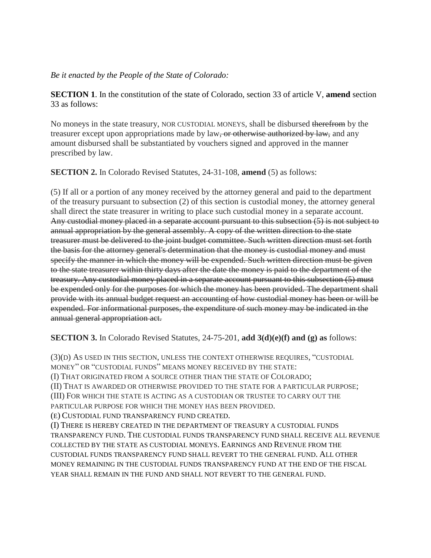## *Be it enacted by the People of the State of Colorado:*

**SECTION 1**. In the constitution of the state of Colorado, section 33 of article V, **amend** section 33 as follows:

No moneys in the state treasury, NOR CUSTODIAL MONEYS, shall be disbursed therefrom by the treasurer except upon appropriations made by law, or otherwise authorized by law, and any amount disbursed shall be substantiated by vouchers signed and approved in the manner prescribed by law.

**SECTION 2.** In Colorado Revised Statutes, 24-31-108, **amend** (5) as follows:

(5) If all or a portion of any money received by the attorney general and paid to the department of the treasury pursuant to subsection (2) of this section is custodial money, the attorney general shall direct the state treasurer in writing to place such custodial money in a separate account. Any custodial money placed in a separate account pursuant to this subsection (5) is not subject to annual appropriation by the general assembly. A copy of the written direction to the state treasurer must be delivered to the joint budget committee. Such written direction must set forth the basis for the attorney general's determination that the money is custodial money and must specify the manner in which the money will be expended. Such written direction must be given to the state treasurer within thirty days after the date the money is paid to the department of the treasury. Any custodial money placed in a separate account pursuant to this subsection (5) must be expended only for the purposes for which the money has been provided. The department shall provide with its annual budget request an accounting of how custodial money has been or will be expended. For informational purposes, the expenditure of such money may be indicated in the annual general appropriation act.

**SECTION 3.** In Colorado Revised Statutes, 24-75-201, **add 3(d)(e)(f) and (g) as** follows:

(3)(D) AS USED IN THIS SECTION, UNLESS THE CONTEXT OTHERWISE REQUIRES, "CUSTODIAL MONEY" OR "CUSTODIAL FUNDS" MEANS MONEY RECEIVED BY THE STATE:

(I) THAT ORIGINATED FROM A SOURCE OTHER THAN THE STATE OF COLORADO;

(II) THAT IS AWARDED OR OTHERWISE PROVIDED TO THE STATE FOR A PARTICULAR PURPOSE; (III) FOR WHICH THE STATE IS ACTING AS A CUSTODIAN OR TRUSTEE TO CARRY OUT THE PARTICULAR PURPOSE FOR WHICH THE MONEY HAS BEEN PROVIDED.

(E) CUSTODIAL FUND TRANSPARENCY FUND CREATED.

(I) THERE IS HEREBY CREATED IN THE DEPARTMENT OF TREASURY A CUSTODIAL FUNDS TRANSPARENCY FUND. THE CUSTODIAL FUNDS TRANSPARENCY FUND SHALL RECEIVE ALL REVENUE COLLECTED BY THE STATE AS CUSTODIAL MONEYS. EARNINGS AND REVENUE FROM THE CUSTODIAL FUNDS TRANSPARENCY FUND SHALL REVERT TO THE GENERAL FUND. ALL OTHER MONEY REMAINING IN THE CUSTODIAL FUNDS TRANSPARENCY FUND AT THE END OF THE FISCAL YEAR SHALL REMAIN IN THE FUND AND SHALL NOT REVERT TO THE GENERAL FUND.